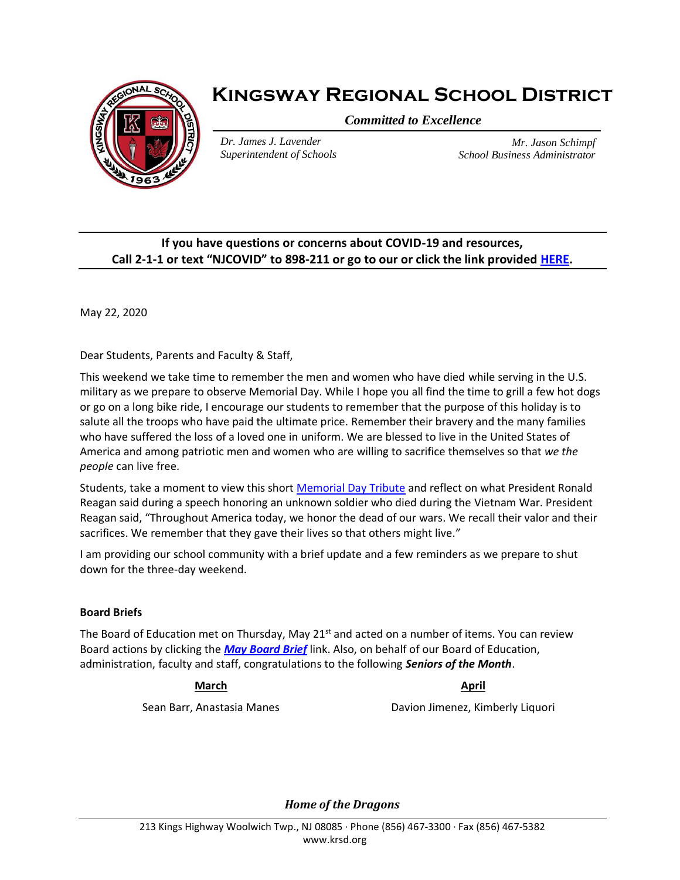

# **Kingsway Regional School District**

*Committed to Excellence*

*Dr. James J. Lavender Superintendent of Schools*

*Mr. Jason Schimpf School Business Administrator*

## **If you have questions or concerns about COVID-19 and resources, Call 2-1-1 or text "NJCOVID" to 898-211 or go to our or click the link provided [HERE.](https://www.nj.gov/dcf/news/Hotlines&Helplines-COVID.pdf)**

May 22, 2020

Dear Students, Parents and Faculty & Staff,

This weekend we take time to remember the men and women who have died while serving in the U.S. military as we prepare to observe Memorial Day. While I hope you all find the time to grill a few hot dogs or go on a long bike ride, I encourage our students to remember that the purpose of this holiday is to salute all the troops who have paid the ultimate price. Remember their bravery and the many families who have suffered the loss of a loved one in uniform. We are blessed to live in the United States of America and among patriotic men and women who are willing to sacrifice themselves so that *we the people* can live free.

Students, take a moment to view this short [Memorial Day Tribute](https://www.youtube.com/watch?v=ZsRGYK-B1Z4) and reflect on what President Ronald Reagan said during a speech honoring an unknown soldier who died during the Vietnam War. President Reagan said, "Throughout America today, we honor the dead of our wars. We recall their valor and their sacrifices. We remember that they gave their lives so that others might live."

I am providing our school community with a brief update and a few reminders as we prepare to shut down for the three-day weekend.

### **Board Briefs**

The Board of Education met on Thursday, May  $21<sup>st</sup>$  and acted on a number of items. You can review Board actions by clicking the *[May Board Brief](https://www.krsd.org/site/handlers/filedownload.ashx?moduleinstanceid=3652&dataid=6666&FileName=May%202020%20Board%20Brief.pdf)* link. Also, on behalf of our Board of Education, administration, faculty and staff, congratulations to the following *Seniors of the Month*.

**March April**

Sean Barr, Anastasia Manes **Davion Jimenez, Kimberly Liquori** 

*Home of the Dragons*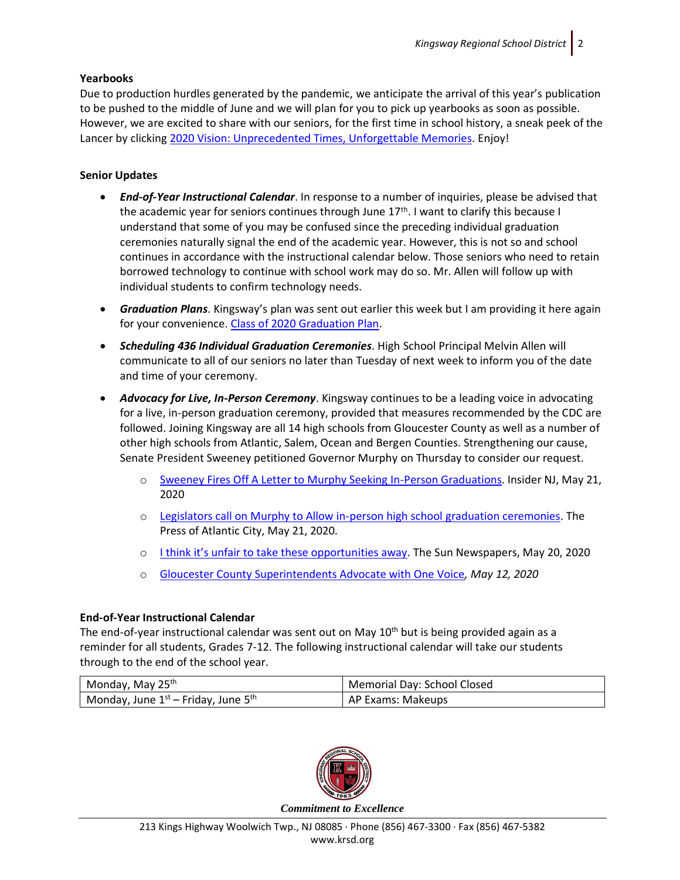#### **Yearbooks**

Due to production hurdles generated by the pandemic, we anticipate the arrival of this year's publication to be pushed to the middle of June and we will plan for you to pick up yearbooks as soon as possible. However, we are excited to share with our seniors, for the first time in school history, a sneak peek of the Lancer by clicking [2020 Vision: Unprecedented Times, Unforgettable Memories.](https://ensemble.kingsway.k12.nj.us/Watch/lancer2020) Enjoy!

#### **Senior Updates**

- *End-of-Year Instructional Calendar*. In response to a number of inquiries, please be advised that the academic year for seniors continues through June 17<sup>th</sup>. I want to clarify this because I understand that some of you may be confused since the preceding individual graduation ceremonies naturally signal the end of the academic year. However, this is not so and school continues in accordance with the instructional calendar below. Those seniors who need to retain borrowed technology to continue with school work may do so. Mr. Allen will follow up with individual students to confirm technology needs.
- *Graduation Plans*. Kingsway's plan was sent out earlier this week but I am providing it here again for your convenience. [Class of 2020 Graduation Plan.](https://www.krsd.org/cms/lib/NJ01912751/Centricity/Domain/121/Superintendent%20Senior%20Graduation%20Update%205.20.2020.pdf)
- *Scheduling 436 Individual Graduation Ceremonies*. High School Principal Melvin Allen will communicate to all of our seniors no later than Tuesday of next week to inform you of the date and time of your ceremony.
- *Advocacy for Live, In-Person Ceremony*. Kingsway continues to be a leading voice in advocating for a live, in-person graduation ceremony, provided that measures recommended by the CDC are followed. Joining Kingsway are all 14 high schools from Gloucester County as well as a number of other high schools from Atlantic, Salem, Ocean and Bergen Counties. Strengthening our cause, Senate President Sweeney petitioned Governor Murphy on Thursday to consider our request.
	- o [Sweeney Fires Off A Letter to Murphy Seeking In-Person Graduations.](https://www.insidernj.com/sweeney-fires-off-letter-murphy-seeking-person-graduations/) Insider NJ, May 21, 2020
	- o [Legislators call on Murphy to Allow in-person high school graduation ceremonies.](https://www.pressofatlanticcity.com/education/legislators-call-on-murphy-to-allow-in-person-high-school-graduation-ceremonies/article_b5ffdc3d-21f3-5323-bb6c-d9691e648f2f.html) The Press of Atlantic City, May 21, 2020.
	- o [I think it's unfair to take these opportunities away](https://thesunpapers.com/2020/05/20/i-think-its-unfair-to-take-these-opportunities-away/). The Sun Newspapers, May 20, 2020
	- o [Gloucester County Superintendents Advocate with One Voice](https://www.krsd.org/cms/lib/NJ01912751/Centricity/Domain/121/GloCo.%20Superintendent%20Letter%20to%20SenPresident%20and%20AsmSpeaker%205.13.2020.pdf)*, May 12, 2020*

#### **End-of-Year Instructional Calendar**

The end-of-year instructional calendar was sent out on May 10<sup>th</sup> but is being provided again as a reminder for all students, Grades 7-12. The following instructional calendar will take our students through to the end of the school year.

| Monday, May 25 <sup>th</sup>                    | Memorial Day: School Closed |
|-------------------------------------------------|-----------------------------|
| Monday, June 1st – Friday, June 5 <sup>th</sup> | AP Exams: Makeups           |